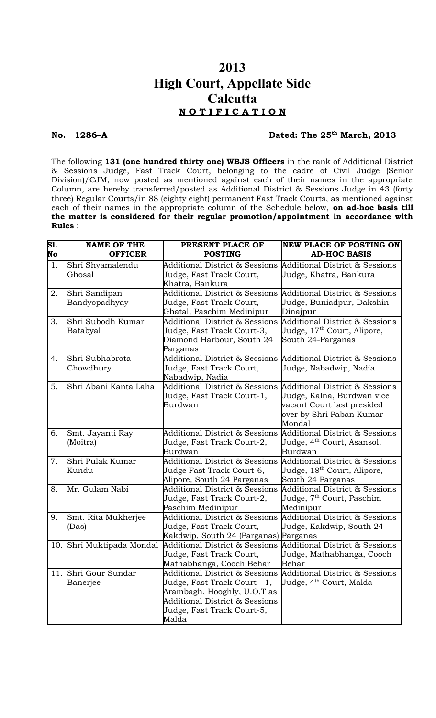# **2013 High Court, Appellate Side Calcutta N O T I F I C A T I O N**

## **No. 1286–A Dated: The 25th March, 2013**

The following **131 (one hundred thirty one) WBJS Officers** in the rank of Additional District & Sessions Judge, Fast Track Court, belonging to the cadre of Civil Judge (Senior Division)/CJM, now posted as mentioned against each of their names in the appropriate Column, are hereby transferred/posted as Additional District & Sessions Judge in 43 (forty three) Regular Courts/in 88 (eighty eight) permanent Fast Track Courts, as mentioned against each of their names in the appropriate column of the Schedule below, **on ad-hoc basis till the matter is considered for their regular promotion/appointment in accordance with Rules** :

| S1.              | <b>NAME OF THE</b>               | PRESENT PLACE OF                                                                                                                                                                  | <b>NEW PLACE OF POSTING ON</b>                                                                                                   |
|------------------|----------------------------------|-----------------------------------------------------------------------------------------------------------------------------------------------------------------------------------|----------------------------------------------------------------------------------------------------------------------------------|
| No               | <b>OFFICER</b>                   | <b>POSTING</b>                                                                                                                                                                    | <b>AD-HOC BASIS</b>                                                                                                              |
| $\overline{1}$ . | Shri Shyamalendu<br>Ghosal       | <b>Additional District &amp; Sessions</b><br>Judge, Fast Track Court,<br>Khatra, Bankura                                                                                          | Additional District & Sessions<br>Judge, Khatra, Bankura                                                                         |
| 2.               | Shri Sandipan<br>Bandyopadhyay   | <b>Additional District &amp; Sessions</b><br>Judge, Fast Track Court,<br>Ghatal, Paschim Medinipur                                                                                | Additional District & Sessions<br>Judge, Buniadpur, Dakshin<br>Dinajpur                                                          |
| 3.               | Shri Subodh Kumar<br>Batabyal    | <b>Additional District &amp; Sessions</b><br>Judge, Fast Track Court-3,<br>Diamond Harbour, South 24<br>Parganas                                                                  | <b>Additional District &amp; Sessions</b><br>Judge, 17 <sup>th</sup> Court, Alipore,<br>South 24-Parganas                        |
| 4.               | Shri Subhabrota<br>Chowdhury     | <b>Additional District &amp; Sessions</b><br>Judge, Fast Track Court,<br>Nabadwip, Nadia                                                                                          | Additional District & Sessions<br>Judge, Nabadwip, Nadia                                                                         |
| 5.               | Shri Abani Kanta Laha            | <b>Additional District &amp; Sessions</b><br>Judge, Fast Track Court-1,<br>Burdwan                                                                                                | Additional District & Sessions<br>Judge, Kalna, Burdwan vice<br>vacant Court last presided<br>over by Shri Paban Kumar<br>Mondal |
| 6.               | Smt. Jayanti Ray<br>(Moitra)     | <b>Additional District &amp; Sessions</b><br>Judge, Fast Track Court-2,<br>Burdwan                                                                                                | Additional District & Sessions<br>Judge, 4 <sup>th</sup> Court, Asansol,<br>Burdwan                                              |
| 7.               | Shri Pulak Kumar<br>Kundu        | <b>Additional District &amp; Sessions</b><br>Judge Fast Track Court-6,<br>Alipore, South 24 Parganas                                                                              | Additional District & Sessions<br>Judge, 18 <sup>th</sup> Court, Alipore,<br>South 24 Parganas                                   |
| 8.               | Mr. Gulam Nabi                   | <b>Additional District &amp; Sessions</b><br>Judge, Fast Track Court-2,<br>Paschim Medinipur                                                                                      | <b>Additional District &amp; Sessions</b><br>Judge, 7 <sup>th</sup> Court, Paschim<br>Medinipur                                  |
| 9.               | Smt. Rita Mukherjee<br>(Das)     | <b>Additional District &amp; Sessions</b><br>Judge, Fast Track Court,<br>Kakdwip, South 24 (Parganas)                                                                             | Additional District & Sessions<br>Judge, Kakdwip, South 24<br>Parganas                                                           |
|                  | 10. Shri Muktipada Mondal        | <b>Additional District &amp; Sessions</b><br>Judge, Fast Track Court,<br>Mathabhanga, Cooch Behar                                                                                 | Additional District & Sessions<br>Judge, Mathabhanga, Cooch<br>Behar                                                             |
|                  | 11. Shri Gour Sundar<br>Banerjee | <b>Additional District &amp; Sessions</b><br>Judge, Fast Track Court - 1,<br>Arambagh, Hooghly, U.O.T as<br>Additional District & Sessions<br>Judge, Fast Track Court-5,<br>Malda | Additional District & Sessions<br>Judge, 4 <sup>th</sup> Court, Malda                                                            |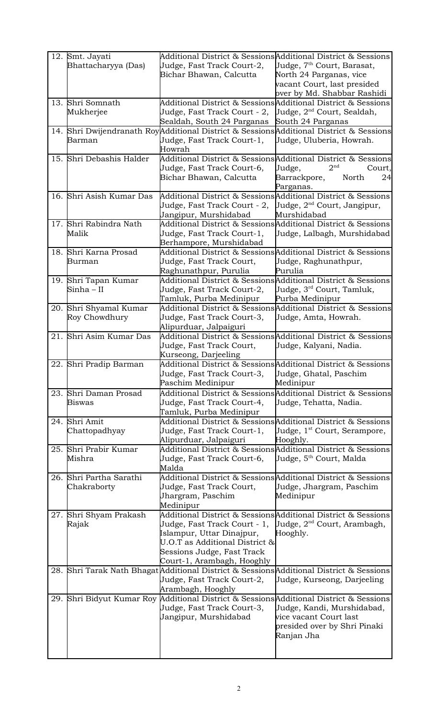|     | 12. Smt. Jayati<br>Bhattacharyya (Das) | Judge, Fast Track Court-2,<br>Bichar Bhawan, Calcutta                                                                                                        | Additional District & Sessions Additional District & Sessions<br>Judge, 7 <sup>th</sup> Court, Barasat,<br>North 24 Parganas, vice<br>vacant Court, last presided<br>over by Md. Shabbar Rashidi |
|-----|----------------------------------------|--------------------------------------------------------------------------------------------------------------------------------------------------------------|--------------------------------------------------------------------------------------------------------------------------------------------------------------------------------------------------|
|     | 13. Shri Somnath<br>Mukherjee          | Judge, Fast Track Court - 2,<br>Sealdah, South 24 Parganas                                                                                                   | Additional District & Sessions Additional District & Sessions<br>Judge, 2 <sup>nd</sup> Court, Sealdah,<br>South 24 Parganas                                                                     |
|     | Barman                                 | Judge, Fast Track Court-1,<br>Howrah                                                                                                                         | 14. Shri Dwijendranath RoyAdditional District & SessionsAdditional District & Sessions<br>Uudge, Uluberia, Howrah.                                                                               |
| 15. | Shri Debashis Halder                   | Judge, Fast Track Court-6,<br>Bichar Bhawan, Calcutta                                                                                                        | Additional District & SessionsAdditional District & Sessions<br>2 <sup>nd</sup><br>Judge,<br>Court,<br>Barrackpore,<br>North<br>24<br>Parganas.                                                  |
|     | 16. Shri Asish Kumar Das               | Judge, Fast Track Court - 2,<br>Jangipur, Murshidabad                                                                                                        | Additional District & Sessions Additional District & Sessions<br>Judge, 2 <sup>nd</sup> Court, Jangipur,<br>Murshidabad                                                                          |
|     | 17. Shri Rabindra Nath<br>Malik        | Judge, Fast Track Court-1,<br>Berhampore, Murshidabad                                                                                                        | Additional District & Sessions Additional District & Sessions<br>Uudge, Lalbagh, Murshidabad                                                                                                     |
|     | 18. Shri Karna Prosad<br>Burman        | Judge, Fast Track Court,<br>Raghunathpur, Purulia                                                                                                            | Additional District & Sessions Additional District & Sessions<br>Uudge, Raghunathpur,<br>Purulia                                                                                                 |
|     | 19. Shri Tapan Kumar<br>$Sinha - II$   | Judge, Fast Track Court-2,<br>Tamluk, Purba Medinipur                                                                                                        | Additional District & Sessions Additional District & Sessions<br>Judge, 3 <sup>rd</sup> Court, Tamluk,<br>Purba Medinipur                                                                        |
| 20. | Shri Shyamal Kumar<br>Roy Chowdhury    | Judge, Fast Track Court-3,<br>Alipurduar, Jalpaiguri                                                                                                         | Additional District & SessionsAdditional District & Sessions<br>Judge, Amta, Howrah.                                                                                                             |
|     | 21. Shri Asim Kumar Das                | Judge, Fast Track Court,<br>Kurseong, Darjeeling                                                                                                             | Additional District & Sessions Additional District & Sessions <br>Uudge, Kalyani, Nadia.                                                                                                         |
|     | 22. Shri Pradip Barman                 | Judge, Fast Track Court-3,<br>Paschim Medinipur                                                                                                              | Additional District & Sessions Additional District & Sessions<br>Judge, Ghatal, Paschim<br>Medinipur                                                                                             |
|     | 23. Shri Daman Prosad<br><b>Biswas</b> | Judge, Fast Track Court-4,<br>Tamluk, Purba Medinipur                                                                                                        | Additional District & Sessions Additional District & Sessions <br>Judge, Tehatta, Nadia.                                                                                                         |
|     | 24. Shri Amit<br>Chattopadhyay         | Judge, Fast Track Court-1,<br>Alipurduar, Jalpaiguri                                                                                                         | Additional District & SessionsAdditional District & Sessions<br>Judge, 1 <sup>st</sup> Court, Serampore,<br>Hooghly.                                                                             |
| 25. | Shri Prabir Kumar<br>Mishra            | Judge, Fast Track Court-6,<br>Malda                                                                                                                          | Additional District & Sessions Additional District & Sessions<br>Judge, 5 <sup>th</sup> Court, Malda                                                                                             |
| 26. | Shri Partha Sarathi<br>Chakraborty     | Judge, Fast Track Court,<br>Jhargram, Paschim<br>Medinipur                                                                                                   | Additional District & Sessions Additional District & Sessions<br>Uudge, Jhargram, Paschim<br>Medinipur                                                                                           |
|     | 27. Shri Shyam Prakash<br>Rajak        | Judge, Fast Track Court - 1,<br>Islampur, Uttar Dinajpur,<br>$U.O.T$ as Additional District $\&$<br>Sessions Judge, Fast Track<br>Court-1, Arambagh, Hooghly | Additional District & Sessions Additional District & Sessions<br>Uudge, 2 <sup>nd</sup> Court, Arambagh,<br>Hooghly.                                                                             |
|     |                                        | Judge, Fast Track Court-2,<br>Arambagh, Hooghly                                                                                                              | 28. Shri Tarak Nath Bhagat Additional District & Sessions Additional District & Sessions<br>Uudge, Kurseong, Darjeeling                                                                          |
|     |                                        | Judge, Fast Track Court-3,<br>Jangipur, Murshidabad                                                                                                          | 29. Shri Bidyut Kumar Roy Additional District & Sessions Additional District & Sessions<br>Uudge, Kandi, Murshidabad,<br>vice vacant Court last<br>presided over by Shri Pinaki<br>Ranjan Jha    |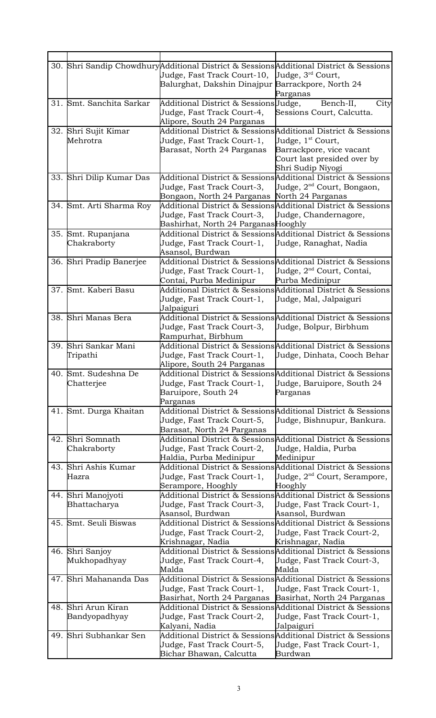|     |                                    | Judge, Fast Track Court-10, Judge, 3rd Court,                                                    | 30. Shri Sandip Chowdhury Additional District & Sessions Additional District & Sessions                                    |
|-----|------------------------------------|--------------------------------------------------------------------------------------------------|----------------------------------------------------------------------------------------------------------------------------|
|     |                                    | Balurghat, Dakshin Dinajpur Barrackpore, North 24                                                | Parganas                                                                                                                   |
|     | 31. Smt. Sanchita Sarkar           | Additional District & SessionsUudge,<br>Judge, Fast Track Court-4,<br>Alipore, South 24 Parganas | Bench-II,<br>City<br>Sessions Court, Calcutta.                                                                             |
|     | 32. Shri Sujit Kimar<br>Mehrotra   | Judge, Fast Track Court-1,<br>Barasat, North 24 Parganas                                         | Additional District & Sessions Additional District & Sessions<br>Judge, 1 <sup>st</sup> Court,<br>Barrackpore, vice vacant |
|     |                                    |                                                                                                  | Court last presided over by<br>Shri Sudip Niyogi                                                                           |
|     | 33. Shri Dilip Kumar Das           | Judge, Fast Track Court-3,<br>Bongaon, North 24 Parganas  North 24 Parganas                      | Additional District & Sessions Additional District & Sessions<br>Judge, 2 <sup>nd</sup> Court, Bongaon,                    |
|     | 34. Smt. Arti Sharma Roy           | Judge, Fast Track Court-3,<br>Bashirhat, North 24 ParganasHooghly                                | Additional District & Sessions Additional District & Sessions<br>Uudge, Chandernagore,                                     |
|     | 35. Smt. Rupanjana<br>Chakraborty  | Judge, Fast Track Court-1,<br>Asansol, Burdwan                                                   | Additional District & Sessions Additional District & Sessions<br>Uudge, Ranaghat, Nadia                                    |
|     | 36. Shri Pradip Banerjee           | Judge, Fast Track Court-1,<br>Contai, Purba Medinipur                                            | Additional District & Sessions Additional District & Sessions<br>Judge, 2 <sup>nd</sup> Court, Contai,<br>Purba Medinipur  |
|     | 37. Smt. Kaberi Basu               | Judge, Fast Track Court-1,<br>Jalpaiguri                                                         | Additional District & Sessions Additional District & Sessions<br>Uudge, Mal, Jalpaiguri                                    |
|     | 38. Shri Manas Bera                | Judge, Fast Track Court-3,<br>Rampurhat, Birbhum                                                 | Additional District & Sessions Additional District & Sessions<br>Uudge, Bolpur, Birbhum                                    |
|     | 39. Shri Sankar Mani<br>Tripathi   | Judge, Fast Track Court-1,<br>Alipore, South 24 Parganas                                         | Additional District & Sessions Additional District & Sessions<br>Uudge, Dinhata, Cooch Behar                               |
|     | 40. Smt. Sudeshna De<br>Chatterjee | Judge, Fast Track Court-1,<br>Baruipore, South 24<br>Parganas                                    | Additional District & Sessions Additional District & Sessions<br>Uudge, Baruipore, South 24<br>Parganas                    |
|     | 41. Smt. Durga Khaitan             | Judge, Fast Track Court-5,<br>Barasat, North 24 Parganas                                         | Additional District & Sessions Additional District & Sessions<br>Judge, Bishnupur, Bankura.                                |
|     | 42. Shri Somnath<br>Chakraborty    | Judge, Fast Track Court-2,<br>Haldia, Purba Medinipur                                            | Additional District & SessionsAdditional District & Sessions<br>Judge, Haldia, Purba<br>Medinipur                          |
|     | 43. Shri Ashis Kumar<br>Hazra      | Judge, Fast Track Court-1,<br>Serampore, Hooghly                                                 | Additional District & Sessions Additional District & Sessions<br>Judge, 2 <sup>nd</sup> Court, Serampore,<br>Hooghly       |
|     | 44. Shri Manojyoti<br>Bhattacharya | Judge, Fast Track Court-3,<br>Asansol, Burdwan                                                   | Additional District & Sessions Additional District & Sessions<br>Judge, Fast Track Court-1,<br>Asansol, Burdwan            |
|     | 45. Smt. Seuli Biswas              | Judge, Fast Track Court-2,<br>Krishnagar, Nadia                                                  | Additional District & Sessions Additional District & Sessions<br>Uudge, Fast Track Court-2,<br>Krishnagar, Nadia           |
|     | 46. Shri Sanjoy<br>Mukhopadhyay    | Judge, Fast Track Court-4,<br>Malda                                                              | Additional District & Sessions Additional District & Sessions<br>Judge, Fast Track Court-3,<br>Malda                       |
|     | 47. Shri Mahananda Das             | Judge, Fast Track Court-1,<br>Basirhat, North 24 Parganas                                        | Additional District & Sessions Additional District & Sessions<br>Judge, Fast Track Court-1,<br>Basirhat, North 24 Parganas |
| 48. | Shri Arun Kiran<br>Bandyopadhyay   | Judge, Fast Track Court-2,<br>Kalyani, Nadia                                                     | Additional District & Sessions Additional District & Sessions<br>Uudge, Fast Track Court-1,<br>Jalpaiguri                  |
|     | 49. Shri Subhankar Sen             | Judge, Fast Track Court-5,<br>Bichar Bhawan, Calcutta                                            | Additional District & Sessions Additional District & Sessions<br>Judge, Fast Track Court-1,<br>Burdwan                     |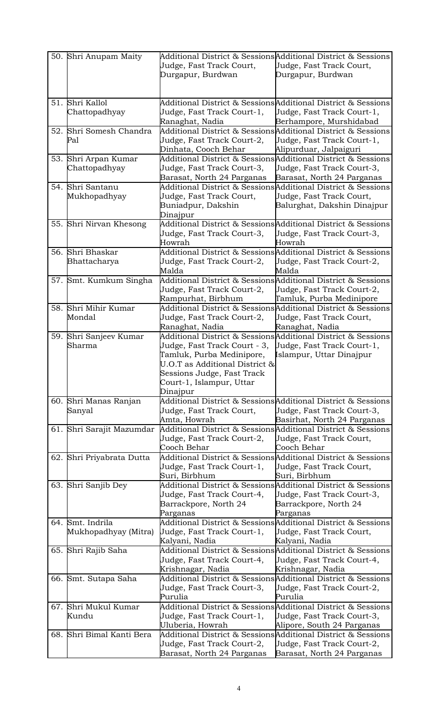| 50. Shri Anupam Maity          | Judge, Fast Track Court,<br>Durgapur, Burdwan                                   | Additional District & SessionsAdditional District & Sessions<br>Judge, Fast Track Court,<br>Durgapur, Burdwan |
|--------------------------------|---------------------------------------------------------------------------------|---------------------------------------------------------------------------------------------------------------|
|                                |                                                                                 |                                                                                                               |
| 51. Shri Kallol                |                                                                                 | Additional District & SessionsAdditional District & Sessions                                                  |
| Chattopadhyay                  | Judge, Fast Track Court-1,                                                      | Judge, Fast Track Court-1,                                                                                    |
|                                | Ranaghat, Nadia<br>Additional District & SessionsAdditional District & Sessions | Berhampore, Murshidabad                                                                                       |
| 52. Shri Somesh Chandra<br>Pal | Judge, Fast Track Court-2,                                                      | Judge, Fast Track Court-1,                                                                                    |
|                                | Dinhata, Cooch Behar                                                            | Alipurduar, Jalpaiguri                                                                                        |
| 53. Shri Arpan Kumar           | Additional District & SessionsAdditional District & Sessions                    |                                                                                                               |
| Chattopadhyay                  | Judge, Fast Track Court-3,                                                      | Uudge, Fast Track Court-3,                                                                                    |
|                                | Barasat, North 24 Parganas                                                      | Barasat, North 24 Parganas                                                                                    |
| 54. Shri Santanu               |                                                                                 | Additional District & SessionsAdditional District & Sessions                                                  |
| Mukhopadhyay                   | Judge, Fast Track Court,                                                        | Judge, Fast Track Court,                                                                                      |
|                                | Buniadpur, Dakshin                                                              | Balurghat, Dakshin Dinajpur                                                                                   |
|                                | Dinajpur                                                                        |                                                                                                               |
| 55. Shri Nirvan Khesong        | Additional District & Sessions Additional District & Sessions                   |                                                                                                               |
|                                | Judge, Fast Track Court-3,                                                      | Judge, Fast Track Court-3,                                                                                    |
|                                | Howrah                                                                          | Howrah                                                                                                        |
| 56. Shri Bhaskar               |                                                                                 | Additional District & SessionsAdditional District & Sessions                                                  |
| Bhattacharya                   | Judge, Fast Track Court-2,                                                      | Uudge, Fast Track Court-2,                                                                                    |
|                                | Malda                                                                           | Malda                                                                                                         |
| 57. Smt. Kumkum Singha         |                                                                                 | Additional District & SessionsAdditional District & Sessions                                                  |
|                                | Judge, Fast Track Court-2,                                                      | Judge, Fast Track Court-2,                                                                                    |
|                                | Rampurhat, Birbhum                                                              | Tamluk, Purba Medinipore                                                                                      |
| 58. Shri Mihir Kumar<br>Mondal |                                                                                 | Additional District & Sessions Additional District & Sessions                                                 |
|                                | Judge, Fast Track Court-2,<br>Ranaghat, Nadia                                   | Judge, Fast Track Court,<br>Ranaghat, Nadia                                                                   |
| 59. Shri Sanjeev Kumar         |                                                                                 | Additional District & Sessions Additional District & Sessions                                                 |
| Sharma                         | Judge, Fast Track Court - 3,                                                    | Judge, Fast Track Court-1,                                                                                    |
|                                | Tamluk, Purba Medinipore,                                                       | Islampur, Uttar Dinajpur                                                                                      |
|                                | U.O.T as Additional District &                                                  |                                                                                                               |
|                                | Sessions Judge, Fast Track                                                      |                                                                                                               |
|                                | Court-1, Islampur, Uttar                                                        |                                                                                                               |
|                                | Dinajpur                                                                        |                                                                                                               |
| 60. Shri Manas Ranjan          |                                                                                 | Additional District & Sessions Additional District & Sessions                                                 |
| Sanyal                         | Judge, Fast Track Court,                                                        | Judge, Fast Track Court-3,                                                                                    |
|                                | Amta, Howrah                                                                    | Basirhat, North 24 Parganas                                                                                   |
| 61. Shri Sarajit Mazumdar      |                                                                                 | Additional District & Sessions Additional District & Sessions                                                 |
|                                | Judge, Fast Track Court-2,                                                      | Judge, Fast Track Court,                                                                                      |
|                                | Cooch Behar                                                                     | Cooch Behar                                                                                                   |
| 62. Shri Priyabrata Dutta      |                                                                                 | Additional District & Sessions Additional District & Sessions                                                 |
|                                | Judge, Fast Track Court-1,<br>Suri, Birbhum                                     | Uudge, Fast Track Court,<br>Suri, Birbhum                                                                     |
| 63. Shri Sanjib Dey            |                                                                                 | Additional District & Sessions Additional District & Sessions                                                 |
|                                | Judge, Fast Track Court-4,                                                      | Judge, Fast Track Court-3,                                                                                    |
|                                | Barrackpore, North 24                                                           | Barrackpore, North 24                                                                                         |
|                                | Parganas                                                                        | Parganas                                                                                                      |
| 64. Smt. Indrila               | Additional District & SessionsAdditional District & Sessions                    |                                                                                                               |
| Mukhopadhyay (Mitra)           | Uudge, Fast Track Court-1,                                                      | Judge, Fast Track Court,                                                                                      |
|                                | Kalyani, Nadia                                                                  | Kalyani, Nadia                                                                                                |
| 65. Shri Rajib Saha            | Additional District & SessionsAdditional District & Sessions                    |                                                                                                               |
|                                | Judge, Fast Track Court-4,                                                      | Uudge, Fast Track Court-4,                                                                                    |
|                                | Krishnagar, Nadia                                                               | Krishnagar, Nadia                                                                                             |
| 66. Smt. Sutapa Saha           |                                                                                 | Additional District & Sessions Additional District & Sessions                                                 |
|                                | Judge, Fast Track Court-3,                                                      | Judge, Fast Track Court-2,                                                                                    |
|                                | Purulia                                                                         | Purulia                                                                                                       |
| 67. Shri Mukul Kumar           |                                                                                 | Additional District & SessionsAdditional District & Sessions                                                  |
| Kundu                          | Judge, Fast Track Court-1,<br>Uluberia, Howrah                                  | Uudge, Fast Track Court-3,                                                                                    |
| 68. Shri Bimal Kanti Bera      | Additional District & SessionsAdditional District & Sessions                    | Alipore, South 24 Parganas                                                                                    |
|                                | Judge, Fast Track Court-2,                                                      | Judge, Fast Track Court-2,                                                                                    |
|                                | Barasat, North 24 Parganas                                                      | Barasat, North 24 Parganas                                                                                    |
|                                |                                                                                 |                                                                                                               |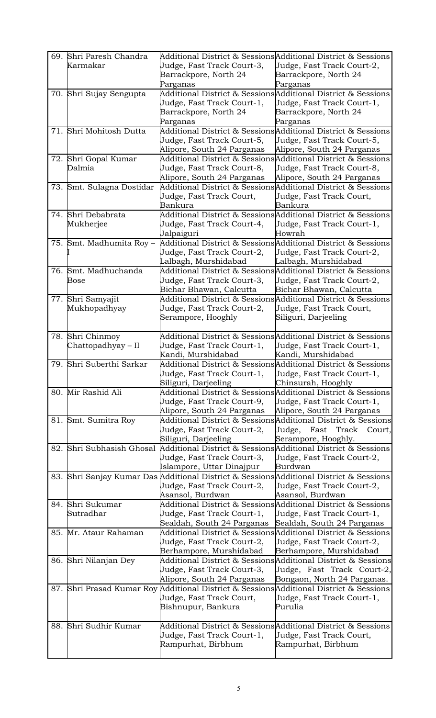|     | 69. Shri Paresh Chandra<br>Karmakar | Judge, Fast Track Court-3,<br>Barrackpore, North 24                        | Additional District & SessionsAdditional District & Sessions<br>Judge, Fast Track Court-2,<br>Barrackpore, North 24 |
|-----|-------------------------------------|----------------------------------------------------------------------------|---------------------------------------------------------------------------------------------------------------------|
|     | 70. Shri Sujay Sengupta             | Parganas                                                                   | Parganas<br>Additional District & Sessions Additional District & Sessions                                           |
|     |                                     | Judge, Fast Track Court-1,                                                 | Judge, Fast Track Court-1,                                                                                          |
|     |                                     | Barrackpore, North 24                                                      | Barrackpore, North 24                                                                                               |
|     |                                     | Parganas                                                                   | Parganas                                                                                                            |
|     | 71. Shri Mohitosh Dutta             |                                                                            | Additional District & Sessions Additional District & Sessions                                                       |
|     |                                     | Judge, Fast Track Court-5,                                                 | Judge, Fast Track Court-5,                                                                                          |
|     |                                     | Alipore, South 24 Parganas                                                 | Alipore, South 24 Parganas                                                                                          |
|     | 72. Shri Gopal Kumar                |                                                                            | Additional District & Sessions Additional District & Sessions                                                       |
|     | Dalmia                              | Judge, Fast Track Court-8,                                                 | Uudge, Fast Track Court-8,                                                                                          |
|     |                                     | Alipore, South 24 Parganas                                                 | Alipore, South 24 Parganas                                                                                          |
|     | 73. Smt. Sulagna Dostidar           |                                                                            | Additional District & SessionsAdditional District & Sessions                                                        |
|     |                                     | Judge, Fast Track Court,                                                   | Judge, Fast Track Court,                                                                                            |
|     |                                     | Bankura                                                                    | Bankura                                                                                                             |
|     | 74. Shri Debabrata                  |                                                                            | Additional District & Sessions Additional District & Sessions                                                       |
|     | Mukherjee                           | Judge, Fast Track Court-4,                                                 | Judge, Fast Track Court-1,                                                                                          |
|     | Smt. Madhumita Roy -                | Jalpaiguri<br>Additional District & SessionsAdditional District & Sessions | Howrah                                                                                                              |
| 75. |                                     |                                                                            |                                                                                                                     |
|     |                                     | Judge, Fast Track Court-2,<br>Lalbagh, Murshidabad                         | Judge, Fast Track Court-2,<br>Lalbagh, Murshidabad                                                                  |
|     | 76. Smt. Madhuchanda                | Additional District & SessionsAdditional District & Sessions               |                                                                                                                     |
|     | <b>Bose</b>                         | Judge, Fast Track Court-3,                                                 | Judge, Fast Track Court-2,                                                                                          |
|     |                                     | Bichar Bhawan, Calcutta                                                    | Bichar Bhawan, Calcutta                                                                                             |
|     | 77. Shri Samyajit                   |                                                                            | Additional District & Sessions Additional District & Sessions                                                       |
|     | Mukhopadhyay                        | Judge, Fast Track Court-2,                                                 | Judge, Fast Track Court,                                                                                            |
|     |                                     | Serampore, Hooghly                                                         | Siliguri, Darjeeling                                                                                                |
|     |                                     |                                                                            |                                                                                                                     |
|     | 78. Shri Chinmoy                    |                                                                            | Additional District & Sessions Additional District & Sessions                                                       |
|     | Chattopadhyay – II                  | Judge, Fast Track Court-1,                                                 | Uudge, Fast Track Court-1,                                                                                          |
|     |                                     | Kandi, Murshidabad                                                         | Kandi, Murshidabad                                                                                                  |
|     | 79. Shri Suberthi Sarkar            |                                                                            | Additional District & Sessions Additional District & Sessions                                                       |
|     |                                     | Judge, Fast Track Court-1,                                                 | Judge, Fast Track Court-1,                                                                                          |
|     |                                     | Siliguri, Darjeeling                                                       | Chinsurah, Hooghly                                                                                                  |
|     | 80. Mir Rashid Ali                  |                                                                            | Additional District & Sessions Additional District & Sessions                                                       |
|     |                                     | Judge, Fast Track Court-9,<br>Alipore, South 24 Parganas                   | Judge, Fast Track Court-1,<br>Alipore, South 24 Parganas                                                            |
|     | 81. Smt. Sumitra Roy                |                                                                            | Additional District & Sessions Additional District & Sessions                                                       |
|     |                                     | Judge, Fast Track Court-2,                                                 | Fast Track Court,<br>Judge,                                                                                         |
|     |                                     | Siliguri, Darjeeling                                                       | Serampore, Hooghly.                                                                                                 |
| 82. | Shri Subhasish Ghosal               |                                                                            | Additional District & Sessions Additional District & Sessions                                                       |
|     |                                     | Judge, Fast Track Court-3,                                                 | Judge, Fast Track Court-2,                                                                                          |
|     |                                     | Islampore, Uttar Dinajpur                                                  | Burdwan                                                                                                             |
|     |                                     |                                                                            | 83. Shri Sanjay Kumar Das Additional District & Sessions Additional District & Sessions                             |
|     |                                     | Judge, Fast Track Court-2,                                                 | Judge, Fast Track Court-2,                                                                                          |
|     |                                     | Asansol, Burdwan                                                           | Asansol, Burdwan                                                                                                    |
|     | 84. Shri Sukumar                    |                                                                            | Additional District & Sessions Additional District & Sessions                                                       |
|     | Sutradhar                           | Judge, Fast Track Court-1,                                                 | Uudge, Fast Track Court-1,                                                                                          |
|     |                                     | Sealdah, South 24 Parganas                                                 | Sealdah, South 24 Parganas                                                                                          |
|     | 85. Mr. Ataur Rahaman               |                                                                            | Additional District & Sessions Additional District & Sessions                                                       |
|     |                                     | Judge, Fast Track Court-2,                                                 | Judge, Fast Track Court-2,                                                                                          |
|     |                                     | Berhampore, Murshidabad                                                    | Berhampore, Murshidabad                                                                                             |
|     | 86. Shri Nilanjan Dey               |                                                                            | Additional District & Sessions Additional District & Sessions                                                       |
|     |                                     | Judge, Fast Track Court-3,<br>Alipore, South 24 Parganas                   | Uudge, Fast Track Court-2,<br>Bongaon, North 24 Parganas.                                                           |
|     | 87. Shri Prasad Kumar Roy           | Additional District & Sessions Additional District & Sessions              |                                                                                                                     |
|     |                                     | Judge, Fast Track Court,                                                   | Judge, Fast Track Court-1,                                                                                          |
|     |                                     | Bishnupur, Bankura                                                         | Purulia                                                                                                             |
|     |                                     |                                                                            |                                                                                                                     |
|     | 88. Shri Sudhir Kumar               |                                                                            | Additional District & SessionsAdditional District & Sessions                                                        |
|     |                                     | Judge, Fast Track Court-1,                                                 | Judge, Fast Track Court,                                                                                            |
|     |                                     | Rampurhat, Birbhum                                                         | Rampurhat, Birbhum                                                                                                  |
|     |                                     |                                                                            |                                                                                                                     |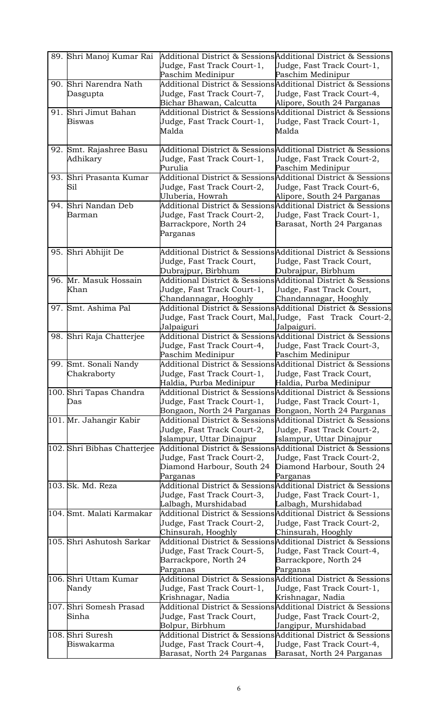| 89. Shri Manoj Kumar Rai    |                            | Additional District & Sessions Additional District & Sessions |
|-----------------------------|----------------------------|---------------------------------------------------------------|
|                             | Judge, Fast Track Court-1, | Uudge, Fast Track Court-1,                                    |
|                             | Paschim Medinipur          | Paschim Medinipur                                             |
| 90. Shri Narendra Nath      |                            | Additional District & Sessions Additional District & Sessions |
| Dasgupta                    | Judge, Fast Track Court-7, | Judge, Fast Track Court-4,                                    |
|                             | Bichar Bhawan, Calcutta    | Alipore, South 24 Parganas                                    |
| 91. Shri Jimut Bahan        |                            | Additional District & Sessions Additional District & Sessions |
| <b>Biswas</b>               | Judge, Fast Track Court-1, | Uudge, Fast Track Court-1,                                    |
|                             | Malda                      | Malda                                                         |
|                             |                            |                                                               |
| 92. Smt. Rajashree Basu     |                            | Additional District & Sessions Additional District & Sessions |
| Adhikary                    | Judge, Fast Track Court-1, | Uudge, Fast Track Court-2,                                    |
|                             | Purulia                    | Paschim Medinipur                                             |
| 93. Shri Prasanta Kumar     |                            | Additional District & SessionsAdditional District & Sessions  |
| Sil                         | Judge, Fast Track Court-2, | Judge, Fast Track Court-6,                                    |
|                             | Uluberia, Howrah           | Alipore, South 24 Parganas                                    |
| 94. Shri Nandan Deb         |                            | Additional District & Sessions Additional District & Sessions |
|                             |                            | Judge, Fast Track Court-1,                                    |
| Barman                      | Judge, Fast Track Court-2, |                                                               |
|                             | Barrackpore, North 24      | Barasat, North 24 Parganas                                    |
|                             | Parganas                   |                                                               |
|                             |                            |                                                               |
| 95. Shri Abhijit De         |                            | Additional District & Sessions Additional District & Sessions |
|                             | Judge, Fast Track Court,   | Uudge, Fast Track Court,                                      |
|                             | Dubrajpur, Birbhum         | Dubrajpur, Birbhum                                            |
| 96. Mr. Masuk Hossain       |                            | Additional District & Sessions Additional District & Sessions |
| Khan                        | Judge, Fast Track Court-1, | Judge, Fast Track Court,                                      |
|                             | Chandannagar, Hooghly      | Chandannagar, Hooghly                                         |
| 97. Smt. Ashima Pal         |                            | Additional District & Sessions Additional District & Sessions |
|                             |                            | Judge, Fast Track Court, Mal,Uudge,  Fast  Track  Court-2,    |
|                             | Jalpaiguri                 | Jalpaiguri.                                                   |
| 98. Shri Raja Chatterjee    |                            | Additional District & Sessions Additional District & Sessions |
|                             | Judge, Fast Track Court-4, | Judge, Fast Track Court-3,                                    |
|                             | Paschim Medinipur          | Paschim Medinipur                                             |
| 99. Smt. Sonali Nandy       |                            | Additional District & Sessions Additional District & Sessions |
| Chakraborty                 | Judge, Fast Track Court-1, | Judge, Fast Track Court,                                      |
|                             | Haldia, Purba Medinipur    | Haldia, Purba Medinipur                                       |
| 100. Shri Tapas Chandra     |                            | Additional District & Sessions Additional District & Sessions |
| Das                         | Judge, Fast Track Court-1, | Judge, Fast Track Court-1,                                    |
|                             | Bongaon, North 24 Parganas | Bongaon, North 24 Parganas                                    |
| 101. Mr. Jahangir Kabir     |                            | Additional District & SessionsAdditional District & Sessions  |
|                             | Judge, Fast Track Court-2, | Judge, Fast Track Court-2,                                    |
|                             | Islampur, Uttar Dinajpur   | Islampur, Uttar Dinajpur                                      |
| 102. Shri Bibhas Chatterjee |                            | Additional District & SessionsAdditional District & Sessions  |
|                             | Judge, Fast Track Court-2, | Uudge, Fast Track Court-2,                                    |
|                             | Diamond Harbour, South 24  | Diamond Harbour, South 24                                     |
|                             | Parganas                   | Parganas                                                      |
| 103. Sk. Md. Reza           |                            | Additional District & Sessions Additional District & Sessions |
|                             | Judge, Fast Track Court-3, | Judge, Fast Track Court-1,                                    |
|                             | Lalbagh, Murshidabad       | Lalbagh, Murshidabad                                          |
| 104. Smt. Malati Karmakar   |                            | Additional District & Sessions Additional District & Sessions |
|                             | Judge, Fast Track Court-2, | Uudge, Fast Track Court-2,                                    |
|                             | Chinsurah, Hooghly         | Chinsurah, Hooghly                                            |
| 105. Shri Ashutosh Sarkar   |                            | Additional District & Sessions Additional District & Sessions |
|                             | Judge, Fast Track Court-5, | Judge, Fast Track Court-4,                                    |
|                             | Barrackpore, North 24      | Barrackpore, North 24                                         |
|                             | Parganas                   | Parganas                                                      |
| 106. Shri Uttam Kumar       |                            | Additional District & Sessions Additional District & Sessions |
| Nandy                       | Judge, Fast Track Court-1, | Judge, Fast Track Court-1,                                    |
|                             | Krishnagar, Nadia          | Krishnagar, Nadia                                             |
| 107. Shri Somesh Prasad     |                            | Additional District & SessionsAdditional District & Sessions  |
| Sinha                       | Judge, Fast Track Court,   | Judge, Fast Track Court-2,                                    |
|                             | Bolpur, Birbhum            | Jangipur, Murshidabad                                         |
| 108. Shri Suresh            |                            | Additional District & Sessions Additional District & Sessions |
| Biswakarma                  | Judge, Fast Track Court-4, | Judge, Fast Track Court-4,                                    |
|                             | Barasat, North 24 Parganas | Barasat, North 24 Parganas                                    |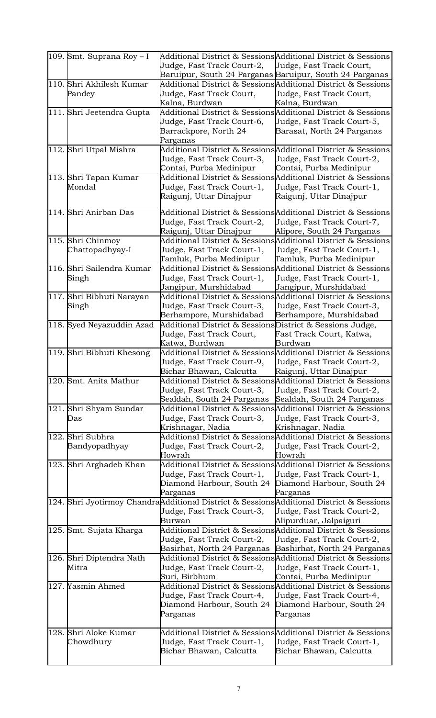| $ 109.$ Smt. Suprana Roy – I         | Judge, Fast Track Court-2,<br>Baruipur, South 24 Parganas Baruipur, South 24 Parganas                   | Additional District & Sessions Additional District & Sessions<br>Uudge, Fast Track Court,                                                       |
|--------------------------------------|---------------------------------------------------------------------------------------------------------|-------------------------------------------------------------------------------------------------------------------------------------------------|
| 110. Shri Akhilesh Kumar<br>Pandey   | Judge, Fast Track Court,<br>Kalna, Burdwan                                                              | Additional District & Sessions Additional District & Sessions<br>Judge, Fast Track Court,<br>Kalna, Burdwan                                     |
| 111. Shri Jeetendra Gupta            | Judge, Fast Track Court-6,<br>Barrackpore, North 24<br>Parganas                                         | Additional District & Sessions Additional District & Sessions<br>Judge, Fast Track Court-5,<br>Barasat, North 24 Parganas                       |
| 112. Shri Utpal Mishra               | Judge, Fast Track Court-3,<br>Contai, Purba Medinipur                                                   | Additional District & Sessions Additional District & Sessions<br>Uudge, Fast Track Court-2,<br>Contai, Purba Medinipur                          |
| 113. Shri Tapan Kumar<br>Mondal      | Judge, Fast Track Court-1,<br>Raigunj, Uttar Dinajpur                                                   | Additional District & SessionsAdditional District & Sessions<br>Judge, Fast Track Court-1,<br>Raigunj, Uttar Dinajpur                           |
| 114. Shri Anirban Das                | Judge, Fast Track Court-2,<br>Raigunj, Uttar Dinajpur                                                   | Additional District & SessionsAdditional District & Sessions<br>Judge, Fast Track Court-7,<br>Alipore, South 24 Parganas                        |
| 115. Shri Chinmoy<br>Chattopadhyay-I | Judge, Fast Track Court-1,<br>Tamluk, Purba Medinipur                                                   | Additional District & SessionsAdditional District & Sessions<br>Uudge, Fast Track Court-1,<br>Tamluk, Purba Medinipur                           |
| 116. Shri Sailendra Kumar<br>Singh   | Judge, Fast Track Court-1,<br>Jangipur, Murshidabad                                                     | Additional District & Sessions Additional District & Sessions<br>Uudge, Fast Track Court-1,<br>Jangipur, Murshidabad                            |
| 117. Shri Bibhuti Narayan<br>Singh   | Judge, Fast Track Court-3,<br>Berhampore, Murshidabad                                                   | Additional District & SessionsAdditional District & Sessions<br>Judge, Fast Track Court-3,<br>Berhampore, Murshidabad                           |
| 118. Syed Neyazuddin Azad            | Additional District & Sessions District & Sessions Judge,<br>Judge, Fast Track Court,<br>Katwa, Burdwan | Fast Track Court, Katwa,<br>Burdwan                                                                                                             |
| 19. Shri Bibhuti Khesong             | Judge, Fast Track Court-9,<br>Bichar Bhawan, Calcutta                                                   | Additional District & Sessions Additional District & Sessions<br>Judge, Fast Track Court-2,<br>Raigunj, Uttar Dinajpur                          |
| 120. Smt. Anita Mathur               | Judge, Fast Track Court-3,<br>Sealdah, South 24 Parganas                                                | Additional District & SessionsAdditional District & Sessions<br>Uudge, Fast Track Court-2,<br>Sealdah, South 24 Parganas                        |
| 121. Shri Shyam Sundar<br>Das        | Judge, Fast Track Court-3,<br>Krishnagar, Nadia                                                         | Additional District & Sessions Additional District & Sessions<br>Uudge, Fast Track Court-3,<br>Krishnagar, Nadia                                |
| 122. Shri Subhra<br>Bandyopadhyay    | Judge, Fast Track Court-2,<br>Howrah                                                                    | Additional District & SessionsAdditional District & Sessions<br>Uudge, Fast Track Court-2,<br>Howrah                                            |
| 123. Shri Arghadeb Khan              | Judge, Fast Track Court-1,<br>Diamond Harbour, South 24<br>Parganas                                     | Additional District & Sessions Additional District & Sessions<br>Judge, Fast Track Court-1,<br>Diamond Harbour, South 24<br>Parganas            |
|                                      | Judge, Fast Track Court-3,<br>Burwan                                                                    | 124. Shri Jyotirmoy ChandraAdditional District & SessionsAdditional District & Sessions<br>Uudge, Fast Track Court-2,<br>Alipurduar, Jalpaiguri |
| 125. Smt. Sujata Kharga              | Judge, Fast Track Court-2,<br>Basirhat, North 24 Parganas                                               | Additional District & Sessions Additional District & Sessions<br>Judge, Fast Track Court-2,<br>Bashirhat, North 24 Parganas                     |
| 126. Shri Diptendra Nath<br>Mitra    | Judge, Fast Track Court-2,<br>Suri, Birbhum                                                             | Additional District & Sessions Additional District & Sessions<br>Judge, Fast Track Court-1,<br>Contai, Purba Medinipur                          |
| 127. Yasmin Ahmed                    | Judge, Fast Track Court-4,<br>Diamond Harbour, South 24<br>Parganas                                     | Additional District & Sessions Additional District & Sessions<br>Uudge, Fast Track Court-4,<br>Diamond Harbour, South 24<br>Parganas            |
| 128. Shri Aloke Kumar<br>Chowdhury   | Judge, Fast Track Court-1,<br>Bichar Bhawan, Calcutta                                                   | Additional District & SessionsAdditional District & Sessions<br>Uudge, Fast Track Court-1,<br>Bichar Bhawan, Calcutta                           |